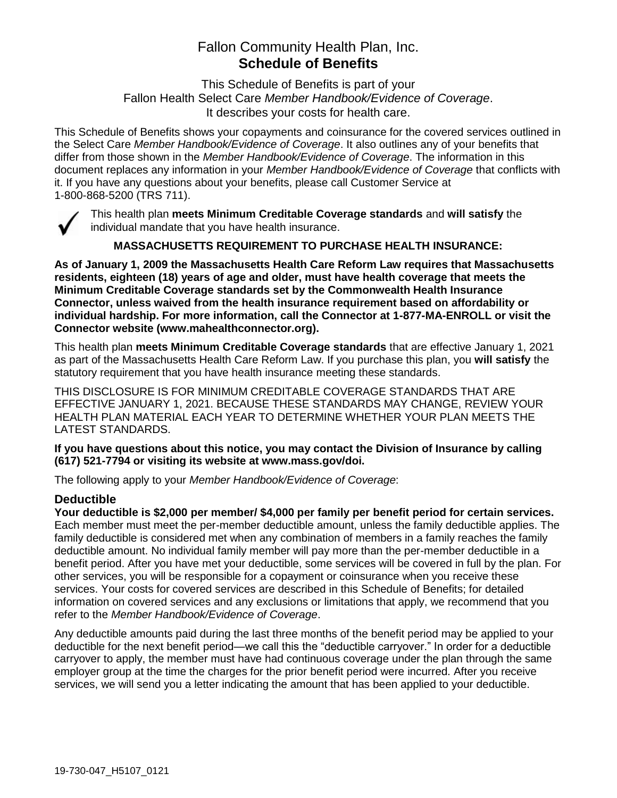# Fallon Community Health Plan, Inc. **Schedule of Benefits**

This Schedule of Benefits is part of your Fallon Health Select Care *Member Handbook/Evidence of Coverage*. It describes your costs for health care.

This Schedule of Benefits shows your copayments and coinsurance for the covered services outlined in the Select Care *Member Handbook/Evidence of Coverage*. It also outlines any of your benefits that differ from those shown in the *Member Handbook/Evidence of Coverage*. The information in this document replaces any information in your *Member Handbook/Evidence of Coverage* that conflicts with it. If you have any questions about your benefits, please call Customer Service at 1-800-868-5200 (TRS 711).



This health plan **meets Minimum Creditable Coverage standards** and **will satisfy** the individual mandate that you have health insurance.

**MASSACHUSETTS REQUIREMENT TO PURCHASE HEALTH INSURANCE:**

**As of January 1, 2009 the Massachusetts Health Care Reform Law requires that Massachusetts residents, eighteen (18) years of age and older, must have health coverage that meets the Minimum Creditable Coverage standards set by the Commonwealth Health Insurance Connector, unless waived from the health insurance requirement based on affordability or individual hardship. For more information, call the Connector at 1-877-MA-ENROLL or visit the Connector website (www.mahealthconnector.org).**

This health plan **meets Minimum Creditable Coverage standards** that are effective January 1, 2021 as part of the Massachusetts Health Care Reform Law. If you purchase this plan, you **will satisfy** the statutory requirement that you have health insurance meeting these standards.

THIS DISCLOSURE IS FOR MINIMUM CREDITABLE COVERAGE STANDARDS THAT ARE EFFECTIVE JANUARY 1, 2021. BECAUSE THESE STANDARDS MAY CHANGE, REVIEW YOUR HEALTH PLAN MATERIAL EACH YEAR TO DETERMINE WHETHER YOUR PLAN MEETS THE LATEST STANDARDS.

**If you have questions about this notice, you may contact the Division of Insurance by calling (617) 521-7794 or visiting its website at www.mass.gov/doi.** 

The following apply to your *Member Handbook/Evidence of Coverage*:

#### **Deductible**

**Your deductible is \$2,000 per member/ \$4,000 per family per benefit period for certain services.** Each member must meet the per-member deductible amount, unless the family deductible applies. The family deductible is considered met when any combination of members in a family reaches the family deductible amount. No individual family member will pay more than the per-member deductible in a benefit period. After you have met your deductible, some services will be covered in full by the plan. For other services, you will be responsible for a copayment or coinsurance when you receive these services. Your costs for covered services are described in this Schedule of Benefits; for detailed information on covered services and any exclusions or limitations that apply, we recommend that you refer to the *Member Handbook/Evidence of Coverage*.

Any deductible amounts paid during the last three months of the benefit period may be applied to your deductible for the next benefit period—we call this the "deductible carryover." In order for a deductible carryover to apply, the member must have had continuous coverage under the plan through the same employer group at the time the charges for the prior benefit period were incurred. After you receive services, we will send you a letter indicating the amount that has been applied to your deductible.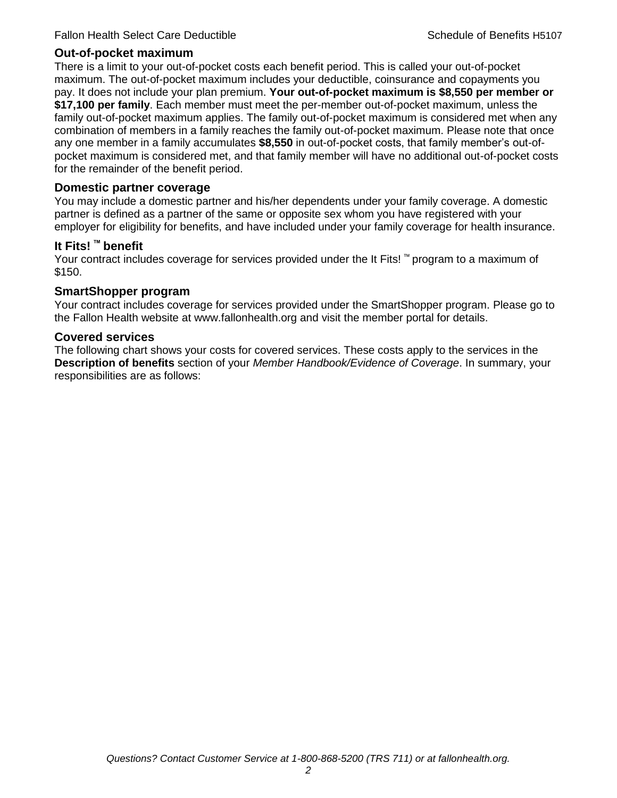#### **Out-of-pocket maximum**

There is a limit to your out-of-pocket costs each benefit period. This is called your out-of-pocket maximum. The out-of-pocket maximum includes your deductible, coinsurance and copayments you pay. It does not include your plan premium. **Your out-of-pocket maximum is \$8,550 per member or \$17,100 per family**. Each member must meet the per-member out-of-pocket maximum, unless the family out-of-pocket maximum applies. The family out-of-pocket maximum is considered met when any combination of members in a family reaches the family out-of-pocket maximum. Please note that once any one member in a family accumulates **\$8,550** in out-of-pocket costs, that family member's out-ofpocket maximum is considered met, and that family member will have no additional out-of-pocket costs for the remainder of the benefit period.

#### **Domestic partner coverage**

You may include a domestic partner and his/her dependents under your family coverage. A domestic partner is defined as a partner of the same or opposite sex whom you have registered with your employer for eligibility for benefits, and have included under your family coverage for health insurance.

#### **It Fits! ™ benefit**

Your contract includes coverage for services provided under the It Fits! ™ program to a maximum of \$150.

#### **SmartShopper program**

Your contract includes coverage for services provided under the SmartShopper program. Please go to the Fallon Health website at www.fallonhealth.org and visit the member portal for details.

#### **Covered services**

The following chart shows your costs for covered services. These costs apply to the services in the **Description of benefits** section of your *Member Handbook/Evidence of Coverage*. In summary, your responsibilities are as follows: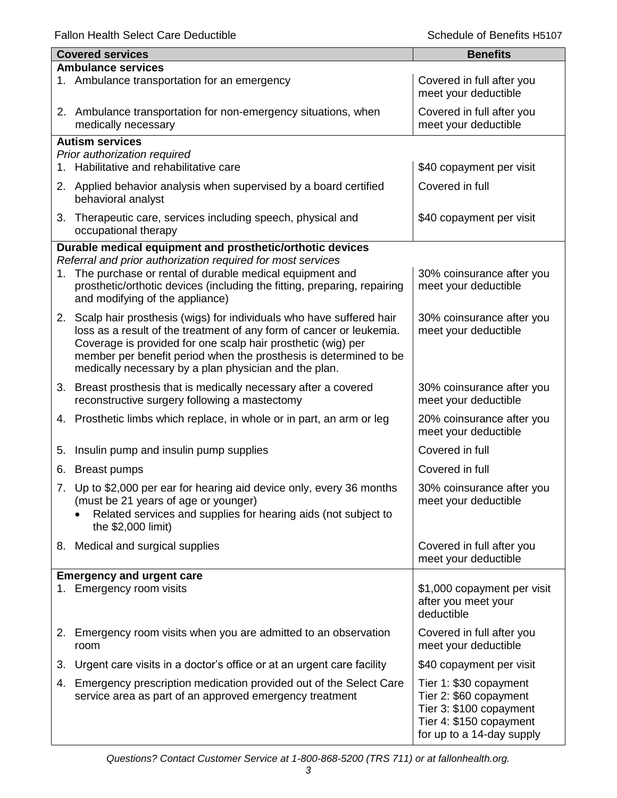Fallon Health Select Care Deductible **Schedule of Benefits H5107** Schedule of Benefits H5107

ı

|    | <b>Covered services</b>                                                                                                                                                                                                                                                                                                                      | <b>Benefits</b>                                                                                                                     |
|----|----------------------------------------------------------------------------------------------------------------------------------------------------------------------------------------------------------------------------------------------------------------------------------------------------------------------------------------------|-------------------------------------------------------------------------------------------------------------------------------------|
|    | <b>Ambulance services</b><br>1. Ambulance transportation for an emergency                                                                                                                                                                                                                                                                    | Covered in full after you                                                                                                           |
|    | 2. Ambulance transportation for non-emergency situations, when                                                                                                                                                                                                                                                                               | meet your deductible<br>Covered in full after you                                                                                   |
|    | medically necessary                                                                                                                                                                                                                                                                                                                          | meet your deductible                                                                                                                |
|    | <b>Autism services</b><br>Prior authorization required                                                                                                                                                                                                                                                                                       |                                                                                                                                     |
|    | 1. Habilitative and rehabilitative care                                                                                                                                                                                                                                                                                                      | \$40 copayment per visit                                                                                                            |
|    | 2. Applied behavior analysis when supervised by a board certified<br>behavioral analyst                                                                                                                                                                                                                                                      | Covered in full                                                                                                                     |
| 3. | Therapeutic care, services including speech, physical and<br>occupational therapy                                                                                                                                                                                                                                                            | \$40 copayment per visit                                                                                                            |
|    | Durable medical equipment and prosthetic/orthotic devices                                                                                                                                                                                                                                                                                    |                                                                                                                                     |
| 1. | Referral and prior authorization required for most services<br>The purchase or rental of durable medical equipment and<br>prosthetic/orthotic devices (including the fitting, preparing, repairing<br>and modifying of the appliance)                                                                                                        | 30% coinsurance after you<br>meet your deductible                                                                                   |
|    | 2. Scalp hair prosthesis (wigs) for individuals who have suffered hair<br>loss as a result of the treatment of any form of cancer or leukemia.<br>Coverage is provided for one scalp hair prosthetic (wig) per<br>member per benefit period when the prosthesis is determined to be<br>medically necessary by a plan physician and the plan. | 30% coinsurance after you<br>meet your deductible                                                                                   |
|    | 3. Breast prosthesis that is medically necessary after a covered<br>reconstructive surgery following a mastectomy                                                                                                                                                                                                                            | 30% coinsurance after you<br>meet your deductible                                                                                   |
|    | 4. Prosthetic limbs which replace, in whole or in part, an arm or leg                                                                                                                                                                                                                                                                        | 20% coinsurance after you<br>meet your deductible                                                                                   |
| 5. | Insulin pump and insulin pump supplies                                                                                                                                                                                                                                                                                                       | Covered in full                                                                                                                     |
| 6. | <b>Breast pumps</b>                                                                                                                                                                                                                                                                                                                          | Covered in full                                                                                                                     |
|    | 7. Up to \$2,000 per ear for hearing aid device only, every 36 months<br>(must be 21 years of age or younger)<br>Related services and supplies for hearing aids (not subject to<br>the \$2,000 limit)                                                                                                                                        | 30% coinsurance after you<br>meet your deductible                                                                                   |
|    | 8. Medical and surgical supplies                                                                                                                                                                                                                                                                                                             | Covered in full after you<br>meet your deductible                                                                                   |
|    | <b>Emergency and urgent care</b>                                                                                                                                                                                                                                                                                                             |                                                                                                                                     |
|    | 1. Emergency room visits                                                                                                                                                                                                                                                                                                                     | \$1,000 copayment per visit<br>after you meet your<br>deductible                                                                    |
|    | 2. Emergency room visits when you are admitted to an observation<br>room                                                                                                                                                                                                                                                                     | Covered in full after you<br>meet your deductible                                                                                   |
| 3. | Urgent care visits in a doctor's office or at an urgent care facility                                                                                                                                                                                                                                                                        | \$40 copayment per visit                                                                                                            |
| 4. | Emergency prescription medication provided out of the Select Care<br>service area as part of an approved emergency treatment                                                                                                                                                                                                                 | Tier 1: \$30 copayment<br>Tier 2: \$60 copayment<br>Tier 3: \$100 copayment<br>Tier 4: \$150 copayment<br>for up to a 14-day supply |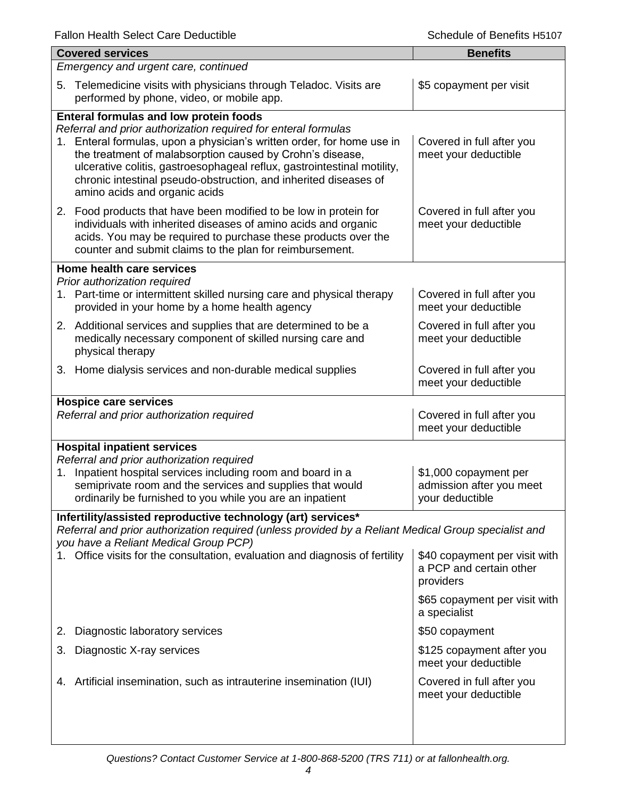| <b>Covered services</b>                                                                                                                                                                                                                |                                                                                                                                                                                                                    | <b>Benefits</b>                                                       |  |
|----------------------------------------------------------------------------------------------------------------------------------------------------------------------------------------------------------------------------------------|--------------------------------------------------------------------------------------------------------------------------------------------------------------------------------------------------------------------|-----------------------------------------------------------------------|--|
| Emergency and urgent care, continued                                                                                                                                                                                                   |                                                                                                                                                                                                                    |                                                                       |  |
| 5.<br>performed by phone, video, or mobile app.                                                                                                                                                                                        | Telemedicine visits with physicians through Teladoc. Visits are                                                                                                                                                    | \$5 copayment per visit                                               |  |
| <b>Enteral formulas and low protein foods</b>                                                                                                                                                                                          |                                                                                                                                                                                                                    |                                                                       |  |
| Referral and prior authorization required for enteral formulas<br>1.<br>the treatment of malabsorption caused by Crohn's disease,<br>amino acids and organic acids                                                                     | Enteral formulas, upon a physician's written order, for home use in<br>ulcerative colitis, gastroesophageal reflux, gastrointestinal motility,<br>chronic intestinal pseudo-obstruction, and inherited diseases of | Covered in full after you<br>meet your deductible                     |  |
| 2. Food products that have been modified to be low in protein for<br>counter and submit claims to the plan for reimbursement.                                                                                                          | individuals with inherited diseases of amino acids and organic<br>acids. You may be required to purchase these products over the                                                                                   | Covered in full after you<br>meet your deductible                     |  |
| Home health care services                                                                                                                                                                                                              |                                                                                                                                                                                                                    |                                                                       |  |
| Prior authorization required<br>1. Part-time or intermittent skilled nursing care and physical therapy<br>provided in your home by a home health agency                                                                                |                                                                                                                                                                                                                    | Covered in full after you<br>meet your deductible                     |  |
| 2. Additional services and supplies that are determined to be a<br>medically necessary component of skilled nursing care and<br>physical therapy                                                                                       |                                                                                                                                                                                                                    | Covered in full after you<br>meet your deductible                     |  |
| 3. Home dialysis services and non-durable medical supplies                                                                                                                                                                             |                                                                                                                                                                                                                    | Covered in full after you<br>meet your deductible                     |  |
| <b>Hospice care services</b><br>Referral and prior authorization required                                                                                                                                                              |                                                                                                                                                                                                                    | Covered in full after you<br>meet your deductible                     |  |
| <b>Hospital inpatient services</b>                                                                                                                                                                                                     |                                                                                                                                                                                                                    |                                                                       |  |
| Referral and prior authorization required<br>Inpatient hospital services including room and board in a<br>1.<br>semiprivate room and the services and supplies that would<br>ordinarily be furnished to you while you are an inpatient |                                                                                                                                                                                                                    | \$1,000 copayment per<br>admission after you meet<br>your deductible  |  |
| Infertility/assisted reproductive technology (art) services*<br>you have a Reliant Medical Group PCP)                                                                                                                                  | Referral and prior authorization required (unless provided by a Reliant Medical Group specialist and                                                                                                               |                                                                       |  |
|                                                                                                                                                                                                                                        | Office visits for the consultation, evaluation and diagnosis of fertility                                                                                                                                          | \$40 copayment per visit with<br>a PCP and certain other<br>providers |  |
|                                                                                                                                                                                                                                        |                                                                                                                                                                                                                    | \$65 copayment per visit with<br>a specialist                         |  |
| Diagnostic laboratory services<br>2.                                                                                                                                                                                                   |                                                                                                                                                                                                                    | \$50 copayment                                                        |  |
| Diagnostic X-ray services<br>3.                                                                                                                                                                                                        |                                                                                                                                                                                                                    | \$125 copayment after you<br>meet your deductible                     |  |
| Artificial insemination, such as intrauterine insemination (IUI)<br>4.                                                                                                                                                                 |                                                                                                                                                                                                                    | Covered in full after you<br>meet your deductible                     |  |
|                                                                                                                                                                                                                                        |                                                                                                                                                                                                                    |                                                                       |  |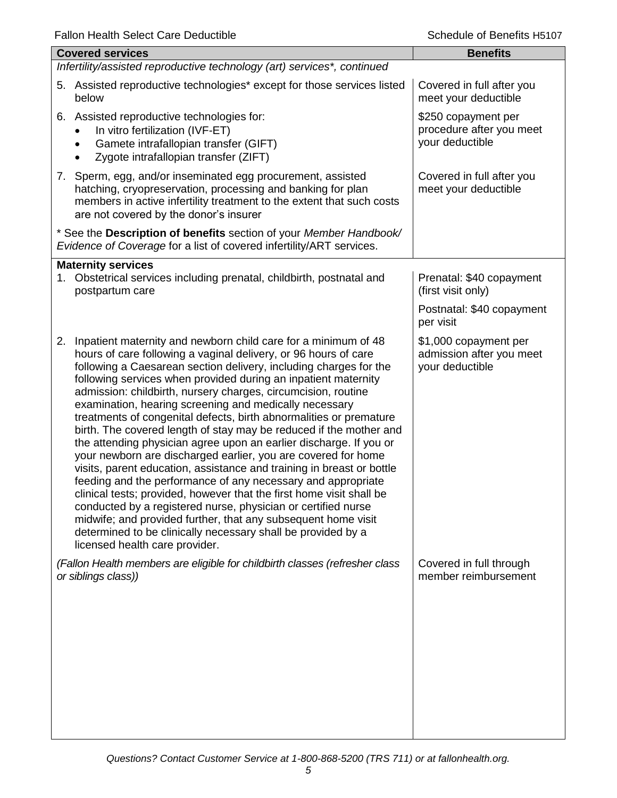| <b>Fallon Health Select Care Dequatible</b>                                                                                                                                                                                                                                                                                                                                                                                                                                                                                                                                                                                                                                                                                                                                                                                                                                                                                                                                                                                                                                                                                                       | Scriedule di Berielits Hotur                                         |
|---------------------------------------------------------------------------------------------------------------------------------------------------------------------------------------------------------------------------------------------------------------------------------------------------------------------------------------------------------------------------------------------------------------------------------------------------------------------------------------------------------------------------------------------------------------------------------------------------------------------------------------------------------------------------------------------------------------------------------------------------------------------------------------------------------------------------------------------------------------------------------------------------------------------------------------------------------------------------------------------------------------------------------------------------------------------------------------------------------------------------------------------------|----------------------------------------------------------------------|
| <b>Covered services</b>                                                                                                                                                                                                                                                                                                                                                                                                                                                                                                                                                                                                                                                                                                                                                                                                                                                                                                                                                                                                                                                                                                                           | <b>Benefits</b>                                                      |
| Infertility/assisted reproductive technology (art) services*, continued                                                                                                                                                                                                                                                                                                                                                                                                                                                                                                                                                                                                                                                                                                                                                                                                                                                                                                                                                                                                                                                                           |                                                                      |
| 5. Assisted reproductive technologies* except for those services listed<br>below                                                                                                                                                                                                                                                                                                                                                                                                                                                                                                                                                                                                                                                                                                                                                                                                                                                                                                                                                                                                                                                                  | Covered in full after you<br>meet your deductible                    |
| 6. Assisted reproductive technologies for:<br>In vitro fertilization (IVF-ET)<br>Gamete intrafallopian transfer (GIFT)<br>Zygote intrafallopian transfer (ZIFT)                                                                                                                                                                                                                                                                                                                                                                                                                                                                                                                                                                                                                                                                                                                                                                                                                                                                                                                                                                                   | \$250 copayment per<br>procedure after you meet<br>your deductible   |
| 7. Sperm, egg, and/or inseminated egg procurement, assisted<br>hatching, cryopreservation, processing and banking for plan<br>members in active infertility treatment to the extent that such costs<br>are not covered by the donor's insurer                                                                                                                                                                                                                                                                                                                                                                                                                                                                                                                                                                                                                                                                                                                                                                                                                                                                                                     | Covered in full after you<br>meet your deductible                    |
| * See the Description of benefits section of your Member Handbook/<br>Evidence of Coverage for a list of covered infertility/ART services.                                                                                                                                                                                                                                                                                                                                                                                                                                                                                                                                                                                                                                                                                                                                                                                                                                                                                                                                                                                                        |                                                                      |
| <b>Maternity services</b><br>1. Obstetrical services including prenatal, childbirth, postnatal and<br>postpartum care                                                                                                                                                                                                                                                                                                                                                                                                                                                                                                                                                                                                                                                                                                                                                                                                                                                                                                                                                                                                                             | Prenatal: \$40 copayment<br>(first visit only)                       |
|                                                                                                                                                                                                                                                                                                                                                                                                                                                                                                                                                                                                                                                                                                                                                                                                                                                                                                                                                                                                                                                                                                                                                   | Postnatal: \$40 copayment<br>per visit                               |
| Inpatient maternity and newborn child care for a minimum of 48<br>2.<br>hours of care following a vaginal delivery, or 96 hours of care<br>following a Caesarean section delivery, including charges for the<br>following services when provided during an inpatient maternity<br>admission: childbirth, nursery charges, circumcision, routine<br>examination, hearing screening and medically necessary<br>treatments of congenital defects, birth abnormalities or premature<br>birth. The covered length of stay may be reduced if the mother and<br>the attending physician agree upon an earlier discharge. If you or<br>your newborn are discharged earlier, you are covered for home<br>visits, parent education, assistance and training in breast or bottle<br>feeding and the performance of any necessary and appropriate<br>clinical tests; provided, however that the first home visit shall be<br>conducted by a registered nurse, physician or certified nurse<br>midwife; and provided further, that any subsequent home visit<br>determined to be clinically necessary shall be provided by a<br>licensed health care provider. | \$1,000 copayment per<br>admission after you meet<br>your deductible |
| (Fallon Health members are eligible for childbirth classes (refresher class<br>or siblings class))                                                                                                                                                                                                                                                                                                                                                                                                                                                                                                                                                                                                                                                                                                                                                                                                                                                                                                                                                                                                                                                | Covered in full through<br>member reimbursement                      |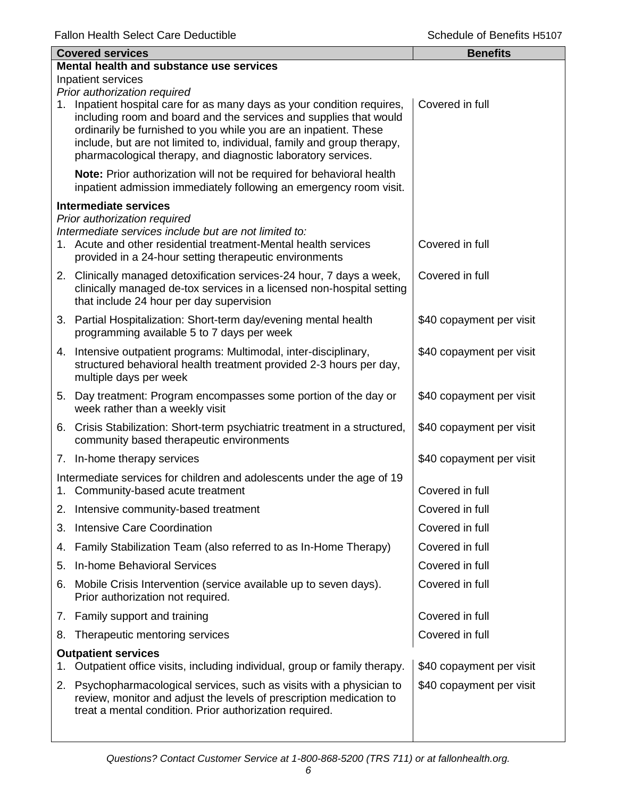|    | <b>Covered services</b>                                                                                                                                                                                                                                                                                                                                    | <b>Benefits</b>          |
|----|------------------------------------------------------------------------------------------------------------------------------------------------------------------------------------------------------------------------------------------------------------------------------------------------------------------------------------------------------------|--------------------------|
|    | Mental health and substance use services                                                                                                                                                                                                                                                                                                                   |                          |
|    | Inpatient services<br>Prior authorization required                                                                                                                                                                                                                                                                                                         |                          |
|    | 1. Inpatient hospital care for as many days as your condition requires,<br>including room and board and the services and supplies that would<br>ordinarily be furnished to you while you are an inpatient. These<br>include, but are not limited to, individual, family and group therapy,<br>pharmacological therapy, and diagnostic laboratory services. | Covered in full          |
|    | Note: Prior authorization will not be required for behavioral health<br>inpatient admission immediately following an emergency room visit.                                                                                                                                                                                                                 |                          |
|    | <b>Intermediate services</b>                                                                                                                                                                                                                                                                                                                               |                          |
|    | Prior authorization required<br>Intermediate services include but are not limited to:<br>1. Acute and other residential treatment-Mental health services<br>provided in a 24-hour setting therapeutic environments                                                                                                                                         | Covered in full          |
|    | 2. Clinically managed detoxification services-24 hour, 7 days a week,<br>clinically managed de-tox services in a licensed non-hospital setting<br>that include 24 hour per day supervision                                                                                                                                                                 | Covered in full          |
|    | 3. Partial Hospitalization: Short-term day/evening mental health<br>programming available 5 to 7 days per week                                                                                                                                                                                                                                             | \$40 copayment per visit |
|    | 4. Intensive outpatient programs: Multimodal, inter-disciplinary,<br>structured behavioral health treatment provided 2-3 hours per day,<br>multiple days per week                                                                                                                                                                                          | \$40 copayment per visit |
|    | 5. Day treatment: Program encompasses some portion of the day or<br>week rather than a weekly visit                                                                                                                                                                                                                                                        | \$40 copayment per visit |
|    | 6. Crisis Stabilization: Short-term psychiatric treatment in a structured,<br>community based therapeutic environments                                                                                                                                                                                                                                     | \$40 copayment per visit |
|    | 7. In-home therapy services                                                                                                                                                                                                                                                                                                                                | \$40 copayment per visit |
|    | Intermediate services for children and adolescents under the age of 19<br>1. Community-based acute treatment                                                                                                                                                                                                                                               | Covered in full          |
|    | 2. Intensive community-based treatment                                                                                                                                                                                                                                                                                                                     | Covered in full          |
| 3. | <b>Intensive Care Coordination</b>                                                                                                                                                                                                                                                                                                                         | Covered in full          |
| 4. | Family Stabilization Team (also referred to as In-Home Therapy)                                                                                                                                                                                                                                                                                            | Covered in full          |
| 5. | In-home Behavioral Services                                                                                                                                                                                                                                                                                                                                | Covered in full          |
| 6. | Mobile Crisis Intervention (service available up to seven days).<br>Prior authorization not required.                                                                                                                                                                                                                                                      | Covered in full          |
|    | 7. Family support and training                                                                                                                                                                                                                                                                                                                             | Covered in full          |
| 8. | Therapeutic mentoring services                                                                                                                                                                                                                                                                                                                             | Covered in full          |
|    | <b>Outpatient services</b><br>Outpatient office visits, including individual, group or family therapy.                                                                                                                                                                                                                                                     | \$40 copayment per visit |
|    | 2. Psychopharmacological services, such as visits with a physician to<br>review, monitor and adjust the levels of prescription medication to<br>treat a mental condition. Prior authorization required.                                                                                                                                                    | \$40 copayment per visit |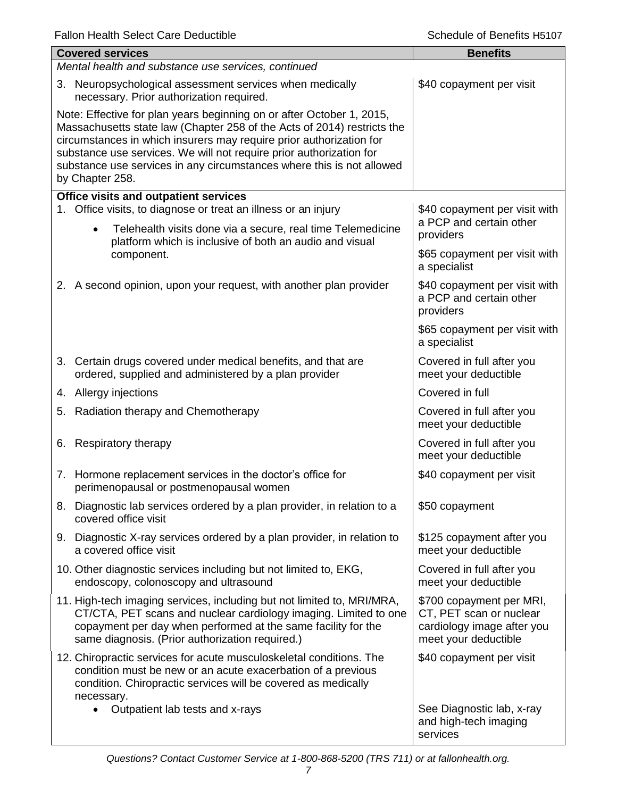ı

|                                                                                                                                                                                                                                                                                                                                                                                            | <b>Covered services</b><br>Mental health and substance use services, continued                                                                                                                                                                                 | <b>Benefits</b>                                                                                           |
|--------------------------------------------------------------------------------------------------------------------------------------------------------------------------------------------------------------------------------------------------------------------------------------------------------------------------------------------------------------------------------------------|----------------------------------------------------------------------------------------------------------------------------------------------------------------------------------------------------------------------------------------------------------------|-----------------------------------------------------------------------------------------------------------|
|                                                                                                                                                                                                                                                                                                                                                                                            | 3. Neuropsychological assessment services when medically<br>necessary. Prior authorization required.                                                                                                                                                           | \$40 copayment per visit                                                                                  |
| Note: Effective for plan years beginning on or after October 1, 2015,<br>Massachusetts state law (Chapter 258 of the Acts of 2014) restricts the<br>circumstances in which insurers may require prior authorization for<br>substance use services. We will not require prior authorization for<br>substance use services in any circumstances where this is not allowed<br>by Chapter 258. |                                                                                                                                                                                                                                                                |                                                                                                           |
|                                                                                                                                                                                                                                                                                                                                                                                            | Office visits and outpatient services                                                                                                                                                                                                                          |                                                                                                           |
| 1.                                                                                                                                                                                                                                                                                                                                                                                         | Office visits, to diagnose or treat an illness or an injury<br>Telehealth visits done via a secure, real time Telemedicine<br>$\bullet$                                                                                                                        | \$40 copayment per visit with<br>a PCP and certain other<br>providers                                     |
|                                                                                                                                                                                                                                                                                                                                                                                            | platform which is inclusive of both an audio and visual<br>component.                                                                                                                                                                                          | \$65 copayment per visit with<br>a specialist                                                             |
|                                                                                                                                                                                                                                                                                                                                                                                            | 2. A second opinion, upon your request, with another plan provider                                                                                                                                                                                             | \$40 copayment per visit with<br>a PCP and certain other<br>providers                                     |
|                                                                                                                                                                                                                                                                                                                                                                                            |                                                                                                                                                                                                                                                                | \$65 copayment per visit with<br>a specialist                                                             |
|                                                                                                                                                                                                                                                                                                                                                                                            | 3. Certain drugs covered under medical benefits, and that are<br>ordered, supplied and administered by a plan provider                                                                                                                                         | Covered in full after you<br>meet your deductible                                                         |
|                                                                                                                                                                                                                                                                                                                                                                                            | 4. Allergy injections                                                                                                                                                                                                                                          | Covered in full                                                                                           |
|                                                                                                                                                                                                                                                                                                                                                                                            | 5. Radiation therapy and Chemotherapy                                                                                                                                                                                                                          | Covered in full after you<br>meet your deductible                                                         |
|                                                                                                                                                                                                                                                                                                                                                                                            | 6. Respiratory therapy                                                                                                                                                                                                                                         | Covered in full after you<br>meet your deductible                                                         |
|                                                                                                                                                                                                                                                                                                                                                                                            | 7. Hormone replacement services in the doctor's office for<br>perimenopausal or postmenopausal women                                                                                                                                                           | \$40 copayment per visit                                                                                  |
|                                                                                                                                                                                                                                                                                                                                                                                            | 8. Diagnostic lab services ordered by a plan provider, in relation to a<br>covered office visit                                                                                                                                                                | \$50 copayment                                                                                            |
|                                                                                                                                                                                                                                                                                                                                                                                            | 9. Diagnostic X-ray services ordered by a plan provider, in relation to<br>a covered office visit                                                                                                                                                              | \$125 copayment after you<br>meet your deductible                                                         |
|                                                                                                                                                                                                                                                                                                                                                                                            | 10. Other diagnostic services including but not limited to, EKG,<br>endoscopy, colonoscopy and ultrasound                                                                                                                                                      | Covered in full after you<br>meet your deductible                                                         |
|                                                                                                                                                                                                                                                                                                                                                                                            | 11. High-tech imaging services, including but not limited to, MRI/MRA,<br>CT/CTA, PET scans and nuclear cardiology imaging. Limited to one<br>copayment per day when performed at the same facility for the<br>same diagnosis. (Prior authorization required.) | \$700 copayment per MRI,<br>CT, PET scan or nuclear<br>cardiology image after you<br>meet your deductible |
|                                                                                                                                                                                                                                                                                                                                                                                            | 12. Chiropractic services for acute musculoskeletal conditions. The<br>condition must be new or an acute exacerbation of a previous<br>condition. Chiropractic services will be covered as medically<br>necessary.                                             | \$40 copayment per visit                                                                                  |
|                                                                                                                                                                                                                                                                                                                                                                                            | Outpatient lab tests and x-rays<br>$\bullet$                                                                                                                                                                                                                   | See Diagnostic lab, x-ray<br>and high-tech imaging<br>services                                            |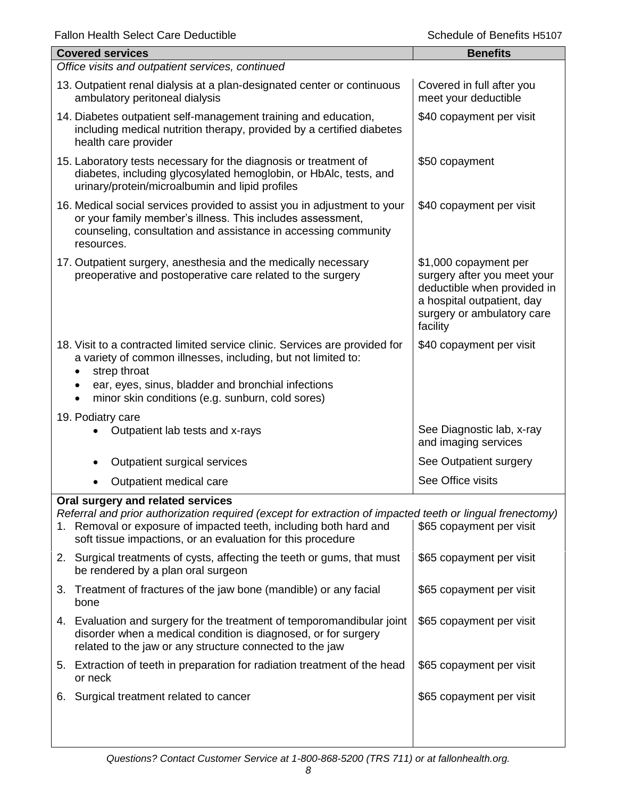| Falloff Health Select Care Deductible                                                                                                                                                                                                                                                 | <b>SCHEQUIE OF DEFIEIRS HOTO</b>                                                                                                                            |  |  |  |
|---------------------------------------------------------------------------------------------------------------------------------------------------------------------------------------------------------------------------------------------------------------------------------------|-------------------------------------------------------------------------------------------------------------------------------------------------------------|--|--|--|
| <b>Covered services</b>                                                                                                                                                                                                                                                               | <b>Benefits</b>                                                                                                                                             |  |  |  |
| Office visits and outpatient services, continued                                                                                                                                                                                                                                      |                                                                                                                                                             |  |  |  |
| 13. Outpatient renal dialysis at a plan-designated center or continuous<br>ambulatory peritoneal dialysis                                                                                                                                                                             | Covered in full after you<br>meet your deductible                                                                                                           |  |  |  |
| 14. Diabetes outpatient self-management training and education,<br>including medical nutrition therapy, provided by a certified diabetes<br>health care provider                                                                                                                      | \$40 copayment per visit                                                                                                                                    |  |  |  |
| 15. Laboratory tests necessary for the diagnosis or treatment of<br>diabetes, including glycosylated hemoglobin, or HbAlc, tests, and<br>urinary/protein/microalbumin and lipid profiles                                                                                              | \$50 copayment                                                                                                                                              |  |  |  |
| 16. Medical social services provided to assist you in adjustment to your<br>or your family member's illness. This includes assessment,<br>counseling, consultation and assistance in accessing community<br>resources.                                                                | \$40 copayment per visit                                                                                                                                    |  |  |  |
| 17. Outpatient surgery, anesthesia and the medically necessary<br>preoperative and postoperative care related to the surgery                                                                                                                                                          | \$1,000 copayment per<br>surgery after you meet your<br>deductible when provided in<br>a hospital outpatient, day<br>surgery or ambulatory care<br>facility |  |  |  |
| 18. Visit to a contracted limited service clinic. Services are provided for<br>a variety of common illnesses, including, but not limited to:<br>strep throat<br>ear, eyes, sinus, bladder and bronchial infections<br>minor skin conditions (e.g. sunburn, cold sores)                | \$40 copayment per visit                                                                                                                                    |  |  |  |
| 19. Podiatry care<br>Outpatient lab tests and x-rays                                                                                                                                                                                                                                  | See Diagnostic lab, x-ray<br>and imaging services                                                                                                           |  |  |  |
| Outpatient surgical services<br>٠                                                                                                                                                                                                                                                     | See Outpatient surgery                                                                                                                                      |  |  |  |
| Outpatient medical care                                                                                                                                                                                                                                                               | See Office visits                                                                                                                                           |  |  |  |
| Oral surgery and related services<br>Referral and prior authorization required (except for extraction of impacted teeth or lingual frenectomy)<br>Removal or exposure of impacted teeth, including both hard and<br>1.<br>soft tissue impactions, or an evaluation for this procedure | \$65 copayment per visit                                                                                                                                    |  |  |  |
| Surgical treatments of cysts, affecting the teeth or gums, that must<br>2.<br>be rendered by a plan oral surgeon                                                                                                                                                                      | \$65 copayment per visit                                                                                                                                    |  |  |  |
| Treatment of fractures of the jaw bone (mandible) or any facial<br>3.<br>bone                                                                                                                                                                                                         | \$65 copayment per visit                                                                                                                                    |  |  |  |
| 4. Evaluation and surgery for the treatment of temporomandibular joint<br>disorder when a medical condition is diagnosed, or for surgery<br>related to the jaw or any structure connected to the jaw                                                                                  | \$65 copayment per visit                                                                                                                                    |  |  |  |
| 5. Extraction of teeth in preparation for radiation treatment of the head<br>or neck                                                                                                                                                                                                  | \$65 copayment per visit                                                                                                                                    |  |  |  |
| 6. Surgical treatment related to cancer                                                                                                                                                                                                                                               | \$65 copayment per visit                                                                                                                                    |  |  |  |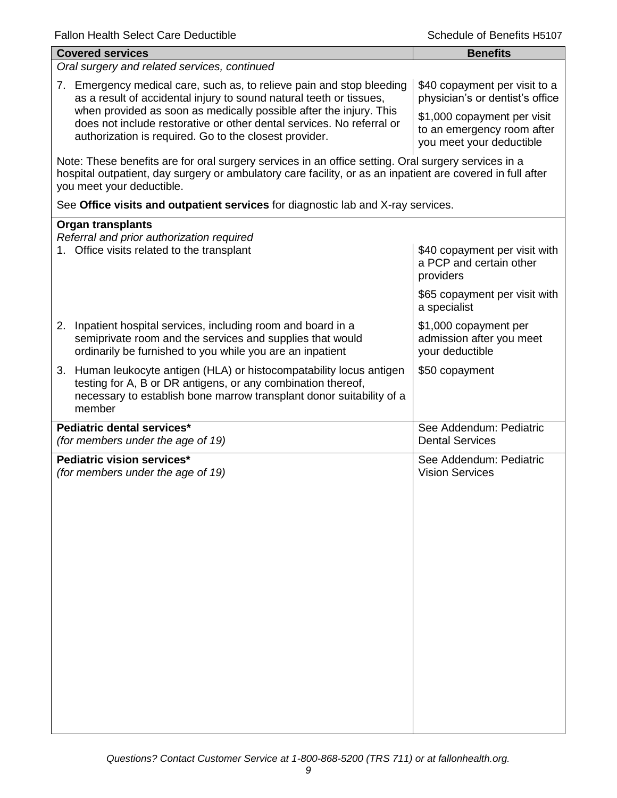| <b>Covered services</b>                                                                                                                                                                                                                        | <b>Benefits</b>                                                                       |  |
|------------------------------------------------------------------------------------------------------------------------------------------------------------------------------------------------------------------------------------------------|---------------------------------------------------------------------------------------|--|
| Oral surgery and related services, continued                                                                                                                                                                                                   |                                                                                       |  |
| Emergency medical care, such as, to relieve pain and stop bleeding<br>7.<br>as a result of accidental injury to sound natural teeth or tissues,<br>when provided as soon as medically possible after the injury. This                          | \$40 copayment per visit to a<br>physician's or dentist's office                      |  |
| does not include restorative or other dental services. No referral or<br>authorization is required. Go to the closest provider.                                                                                                                | \$1,000 copayment per visit<br>to an emergency room after<br>you meet your deductible |  |
| Note: These benefits are for oral surgery services in an office setting. Oral surgery services in a<br>hospital outpatient, day surgery or ambulatory care facility, or as an inpatient are covered in full after<br>you meet your deductible. |                                                                                       |  |
| See Office visits and outpatient services for diagnostic lab and X-ray services.                                                                                                                                                               |                                                                                       |  |
| <b>Organ transplants</b>                                                                                                                                                                                                                       |                                                                                       |  |
| Referral and prior authorization required<br>1. Office visits related to the transplant                                                                                                                                                        | \$40 copayment per visit with<br>a PCP and certain other<br>providers                 |  |
|                                                                                                                                                                                                                                                | \$65 copayment per visit with<br>a specialist                                         |  |
| 2.<br>Inpatient hospital services, including room and board in a<br>semiprivate room and the services and supplies that would<br>ordinarily be furnished to you while you are an inpatient                                                     | \$1,000 copayment per<br>admission after you meet<br>your deductible                  |  |
| Human leukocyte antigen (HLA) or histocompatability locus antigen<br>3.<br>testing for A, B or DR antigens, or any combination thereof,<br>necessary to establish bone marrow transplant donor suitability of a<br>member                      | \$50 copayment                                                                        |  |
| Pediatric dental services*<br>(for members under the age of 19)                                                                                                                                                                                | See Addendum: Pediatric<br><b>Dental Services</b>                                     |  |
| Pediatric vision services*<br>(for members under the age of 19)                                                                                                                                                                                | See Addendum: Pediatric<br><b>Vision Services</b>                                     |  |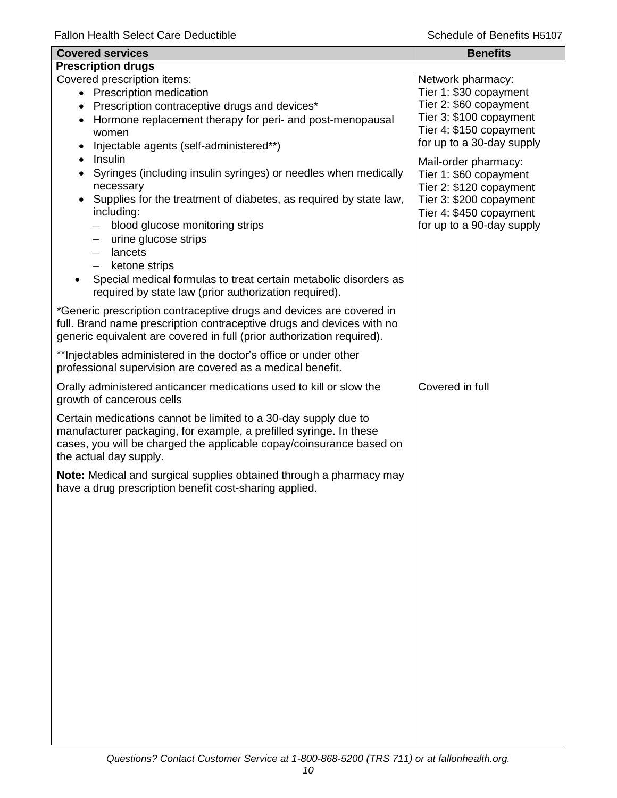| <b>Covered services</b>                                                                                                                                                                                                                                                                                                                                                                                                                                                                                              | <b>Benefits</b>                                                                                                                                              |
|----------------------------------------------------------------------------------------------------------------------------------------------------------------------------------------------------------------------------------------------------------------------------------------------------------------------------------------------------------------------------------------------------------------------------------------------------------------------------------------------------------------------|--------------------------------------------------------------------------------------------------------------------------------------------------------------|
| <b>Prescription drugs</b>                                                                                                                                                                                                                                                                                                                                                                                                                                                                                            |                                                                                                                                                              |
| Covered prescription items:<br>• Prescription medication<br>Prescription contraceptive drugs and devices*<br>Hormone replacement therapy for peri- and post-menopausal<br>women<br>Injectable agents (self-administered**)                                                                                                                                                                                                                                                                                           | Network pharmacy:<br>Tier 1: \$30 copayment<br>Tier 2: \$60 copayment<br>Tier 3: \$100 copayment<br>Tier 4: \$150 copayment<br>for up to a 30-day supply     |
| Insulin<br>$\bullet$<br>Syringes (including insulin syringes) or needles when medically<br>necessary<br>Supplies for the treatment of diabetes, as required by state law,<br>including:<br>blood glucose monitoring strips<br>$\overline{\phantom{0}}$<br>urine glucose strips<br>$\qquad \qquad -$<br>lancets<br>$\overline{\phantom{m}}$<br>ketone strips<br>$\overline{\phantom{0}}$<br>Special medical formulas to treat certain metabolic disorders as<br>required by state law (prior authorization required). | Mail-order pharmacy:<br>Tier 1: \$60 copayment<br>Tier 2: \$120 copayment<br>Tier 3: \$200 copayment<br>Tier 4: \$450 copayment<br>for up to a 90-day supply |
| *Generic prescription contraceptive drugs and devices are covered in<br>full. Brand name prescription contraceptive drugs and devices with no<br>generic equivalent are covered in full (prior authorization required).                                                                                                                                                                                                                                                                                              |                                                                                                                                                              |
| ** Injectables administered in the doctor's office or under other<br>professional supervision are covered as a medical benefit.                                                                                                                                                                                                                                                                                                                                                                                      |                                                                                                                                                              |
| Orally administered anticancer medications used to kill or slow the<br>growth of cancerous cells                                                                                                                                                                                                                                                                                                                                                                                                                     | Covered in full                                                                                                                                              |
| Certain medications cannot be limited to a 30-day supply due to<br>manufacturer packaging, for example, a prefilled syringe. In these<br>cases, you will be charged the applicable copay/coinsurance based on<br>the actual day supply.                                                                                                                                                                                                                                                                              |                                                                                                                                                              |
| Note: Medical and surgical supplies obtained through a pharmacy may<br>have a drug prescription benefit cost-sharing applied.                                                                                                                                                                                                                                                                                                                                                                                        |                                                                                                                                                              |
|                                                                                                                                                                                                                                                                                                                                                                                                                                                                                                                      |                                                                                                                                                              |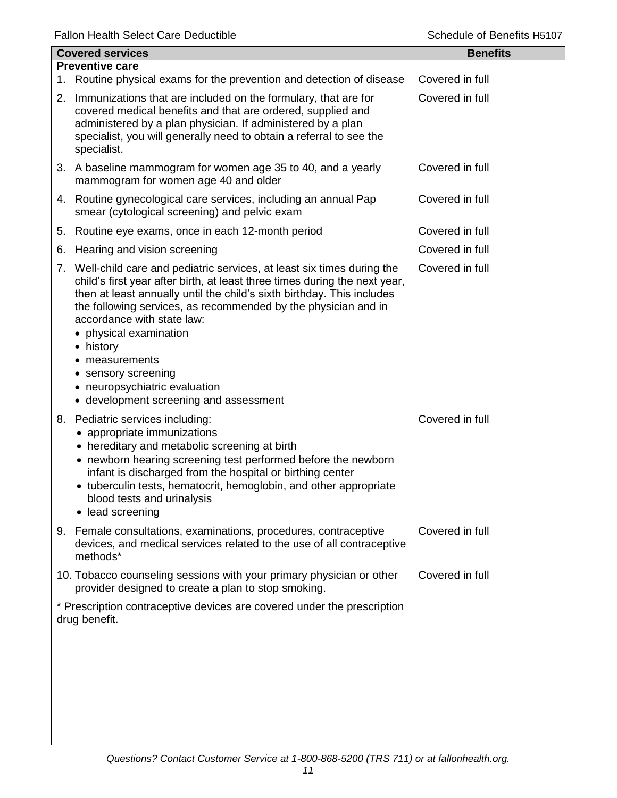| <b>Covered services</b> |                                                                                                                                                                                                                                                                                                                                                                                                                | <b>Benefits</b> |
|-------------------------|----------------------------------------------------------------------------------------------------------------------------------------------------------------------------------------------------------------------------------------------------------------------------------------------------------------------------------------------------------------------------------------------------------------|-----------------|
|                         | <b>Preventive care</b><br>1. Routine physical exams for the prevention and detection of disease                                                                                                                                                                                                                                                                                                                | Covered in full |
|                         | 2. Immunizations that are included on the formulary, that are for<br>covered medical benefits and that are ordered, supplied and                                                                                                                                                                                                                                                                               | Covered in full |
|                         | administered by a plan physician. If administered by a plan<br>specialist, you will generally need to obtain a referral to see the<br>specialist.                                                                                                                                                                                                                                                              |                 |
|                         | 3. A baseline mammogram for women age 35 to 40, and a yearly<br>mammogram for women age 40 and older                                                                                                                                                                                                                                                                                                           | Covered in full |
|                         | 4. Routine gynecological care services, including an annual Pap<br>smear (cytological screening) and pelvic exam                                                                                                                                                                                                                                                                                               | Covered in full |
| 5.                      | Routine eye exams, once in each 12-month period                                                                                                                                                                                                                                                                                                                                                                | Covered in full |
| 6.                      | Hearing and vision screening                                                                                                                                                                                                                                                                                                                                                                                   | Covered in full |
|                         | 7. Well-child care and pediatric services, at least six times during the<br>child's first year after birth, at least three times during the next year,<br>then at least annually until the child's sixth birthday. This includes<br>the following services, as recommended by the physician and in<br>accordance with state law:<br>• physical examination<br>• history<br>measurements<br>• sensory screening | Covered in full |
|                         | • neuropsychiatric evaluation<br>• development screening and assessment                                                                                                                                                                                                                                                                                                                                        |                 |
|                         | 8. Pediatric services including:<br>appropriate immunizations<br>• hereditary and metabolic screening at birth<br>• newborn hearing screening test performed before the newborn<br>infant is discharged from the hospital or birthing center<br>• tuberculin tests, hematocrit, hemoglobin, and other appropriate<br>blood tests and urinalysis<br>lead screening<br>$\bullet$                                 | Covered in full |
| 9.                      | Female consultations, examinations, procedures, contraceptive<br>devices, and medical services related to the use of all contraceptive<br>methods*                                                                                                                                                                                                                                                             | Covered in full |
|                         | 10. Tobacco counseling sessions with your primary physician or other<br>provider designed to create a plan to stop smoking.                                                                                                                                                                                                                                                                                    | Covered in full |
|                         | * Prescription contraceptive devices are covered under the prescription<br>drug benefit.                                                                                                                                                                                                                                                                                                                       |                 |
|                         |                                                                                                                                                                                                                                                                                                                                                                                                                |                 |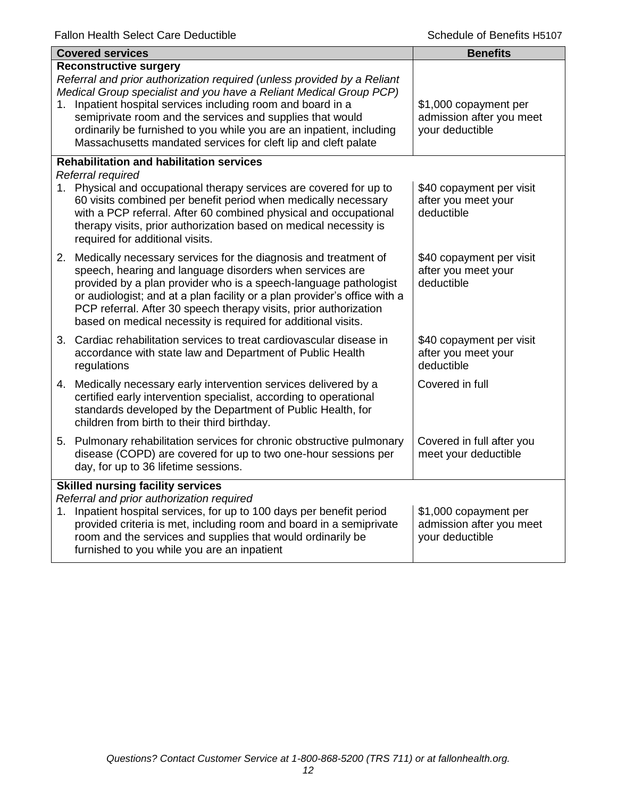|                                          | <b>Covered services</b>                                                                                                                                                                                                                                                                                                                                                                                                                            | <b>Benefits</b>                                                      |
|------------------------------------------|----------------------------------------------------------------------------------------------------------------------------------------------------------------------------------------------------------------------------------------------------------------------------------------------------------------------------------------------------------------------------------------------------------------------------------------------------|----------------------------------------------------------------------|
| 1.                                       | <b>Reconstructive surgery</b><br>Referral and prior authorization required (unless provided by a Reliant<br>Medical Group specialist and you have a Reliant Medical Group PCP)<br>Inpatient hospital services including room and board in a<br>semiprivate room and the services and supplies that would<br>ordinarily be furnished to you while you are an inpatient, including<br>Massachusetts mandated services for cleft lip and cleft palate | \$1,000 copayment per<br>admission after you meet<br>your deductible |
|                                          | <b>Rehabilitation and habilitation services</b>                                                                                                                                                                                                                                                                                                                                                                                                    |                                                                      |
|                                          | Referral required<br>1. Physical and occupational therapy services are covered for up to<br>60 visits combined per benefit period when medically necessary<br>with a PCP referral. After 60 combined physical and occupational<br>therapy visits, prior authorization based on medical necessity is<br>required for additional visits.                                                                                                             | \$40 copayment per visit<br>after you meet your<br>deductible        |
|                                          | 2. Medically necessary services for the diagnosis and treatment of<br>speech, hearing and language disorders when services are<br>provided by a plan provider who is a speech-language pathologist<br>or audiologist; and at a plan facility or a plan provider's office with a<br>PCP referral. After 30 speech therapy visits, prior authorization<br>based on medical necessity is required for additional visits.                              | \$40 copayment per visit<br>after you meet your<br>deductible        |
|                                          | 3. Cardiac rehabilitation services to treat cardiovascular disease in<br>accordance with state law and Department of Public Health<br>regulations                                                                                                                                                                                                                                                                                                  | \$40 copayment per visit<br>after you meet your<br>deductible        |
|                                          | 4. Medically necessary early intervention services delivered by a<br>certified early intervention specialist, according to operational<br>standards developed by the Department of Public Health, for<br>children from birth to their third birthday.                                                                                                                                                                                              | Covered in full                                                      |
|                                          | 5. Pulmonary rehabilitation services for chronic obstructive pulmonary<br>disease (COPD) are covered for up to two one-hour sessions per<br>day, for up to 36 lifetime sessions.                                                                                                                                                                                                                                                                   | Covered in full after you<br>meet your deductible                    |
| <b>Skilled nursing facility services</b> |                                                                                                                                                                                                                                                                                                                                                                                                                                                    |                                                                      |
|                                          | Referral and prior authorization required<br>1. Inpatient hospital services, for up to 100 days per benefit period<br>provided criteria is met, including room and board in a semiprivate<br>room and the services and supplies that would ordinarily be<br>furnished to you while you are an inpatient                                                                                                                                            | \$1,000 copayment per<br>admission after you meet<br>your deductible |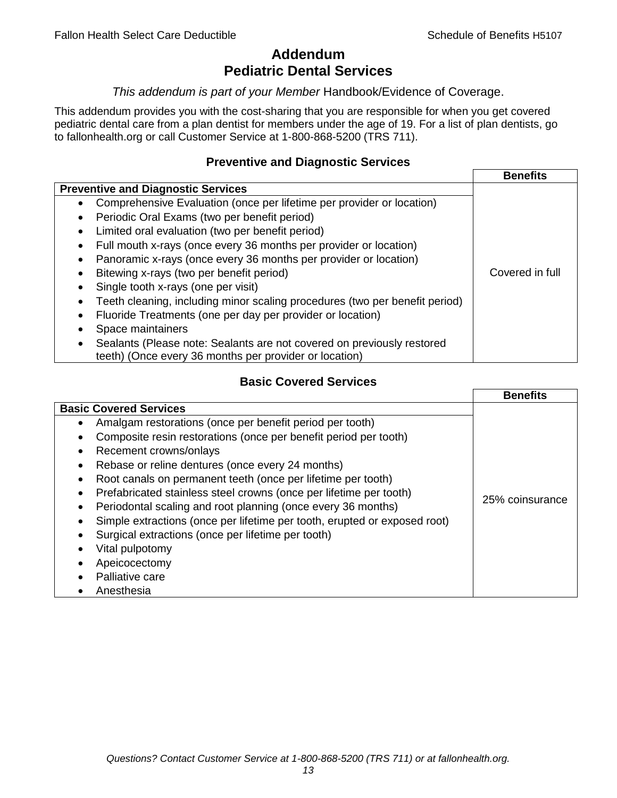# **Addendum Pediatric Dental Services**

#### *This addendum is part of your Member* Handbook/Evidence of Coverage.

This addendum provides you with the cost-sharing that you are responsible for when you get covered pediatric dental care from a plan dentist for members under the age of 19. For a list of plan dentists, go to fallonhealth.org or call Customer Service at 1-800-868-5200 (TRS 711).

#### **Preventive and Diagnostic Services**

|                                                                             | <b>Benefits</b> |
|-----------------------------------------------------------------------------|-----------------|
| <b>Preventive and Diagnostic Services</b>                                   |                 |
| Comprehensive Evaluation (once per lifetime per provider or location)<br>٠  |                 |
| Periodic Oral Exams (two per benefit period)<br>$\bullet$                   |                 |
| Limited oral evaluation (two per benefit period)<br>$\bullet$               |                 |
| Full mouth x-rays (once every 36 months per provider or location)           |                 |
| Panoramic x-rays (once every 36 months per provider or location)            |                 |
| Bitewing x-rays (two per benefit period)<br>٠                               | Covered in full |
| Single tooth x-rays (one per visit)                                         |                 |
| Teeth cleaning, including minor scaling procedures (two per benefit period) |                 |
| Fluoride Treatments (one per day per provider or location)<br>٠             |                 |
| Space maintainers                                                           |                 |
| Sealants (Please note: Sealants are not covered on previously restored      |                 |
| teeth) (Once every 36 months per provider or location)                      |                 |

## **Basic Covered Services**

|                                                                                                                                                                                                                                                                                                                                                          | <b>Benefits</b> |
|----------------------------------------------------------------------------------------------------------------------------------------------------------------------------------------------------------------------------------------------------------------------------------------------------------------------------------------------------------|-----------------|
| <b>Basic Covered Services</b><br>Amalgam restorations (once per benefit period per tooth)<br>Composite resin restorations (once per benefit period per tooth)<br>Recement crowns/onlays<br>Rebase or reline dentures (once every 24 months)                                                                                                              |                 |
| Root canals on permanent teeth (once per lifetime per tooth)<br>Prefabricated stainless steel crowns (once per lifetime per tooth)<br>Periodontal scaling and root planning (once every 36 months)<br>Simple extractions (once per lifetime per tooth, erupted or exposed root)<br>Surgical extractions (once per lifetime per tooth)<br>Vital pulpotomy | 25% coinsurance |
| Apeicocectomy<br>Palliative care<br>Anesthesia                                                                                                                                                                                                                                                                                                           |                 |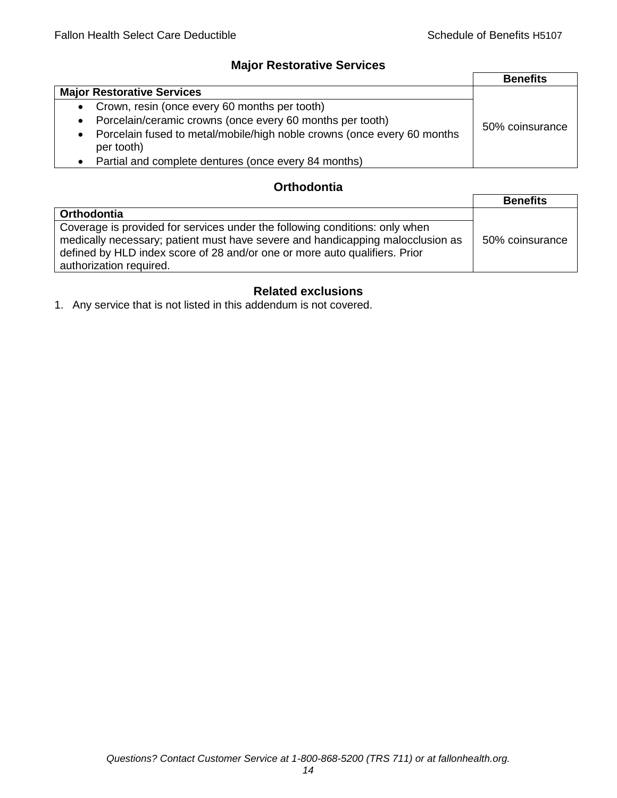### **Major Restorative Services**

|                                                                                                    | <b>Benefits</b> |
|----------------------------------------------------------------------------------------------------|-----------------|
| <b>Major Restorative Services</b>                                                                  |                 |
| • Crown, resin (once every 60 months per tooth)                                                    |                 |
| Porcelain/ceramic crowns (once every 60 months per tooth)<br>$\bullet$                             | 50% coinsurance |
| Porcelain fused to metal/mobile/high noble crowns (once every 60 months<br>$\bullet$<br>per tooth) |                 |
| Partial and complete dentures (once every 84 months)<br>$\bullet$                                  |                 |

## **Orthodontia**

|                                                                                                                                                                                                                                                                        | <b>Benefits</b> |
|------------------------------------------------------------------------------------------------------------------------------------------------------------------------------------------------------------------------------------------------------------------------|-----------------|
| Orthodontia                                                                                                                                                                                                                                                            |                 |
| Coverage is provided for services under the following conditions: only when<br>medically necessary; patient must have severe and handicapping malocclusion as<br>defined by HLD index score of 28 and/or one or more auto qualifiers. Prior<br>authorization required. | 50% coinsurance |

## **Related exclusions**

1. Any service that is not listed in this addendum is not covered.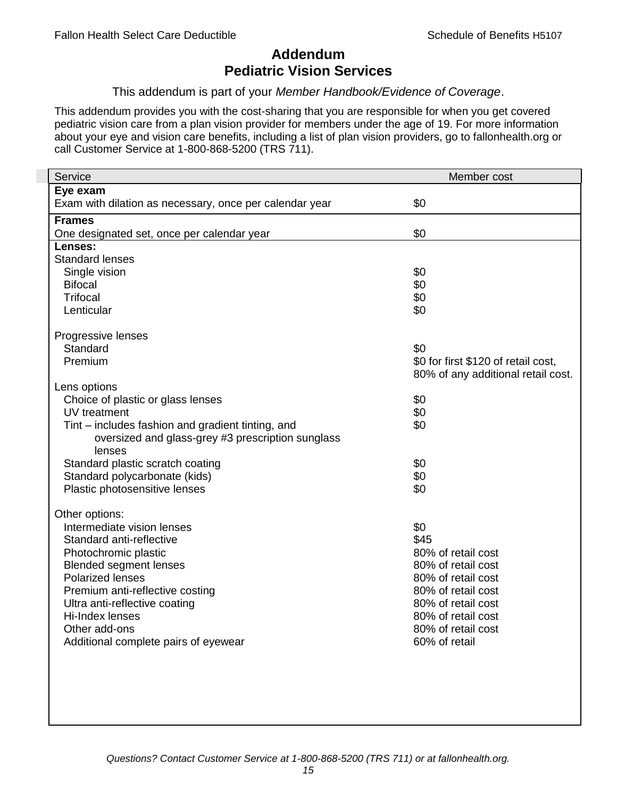# **Addendum Pediatric Vision Services**

This addendum is part of your *Member Handbook/Evidence of Coverage*.

This addendum provides you with the cost-sharing that you are responsible for when you get covered pediatric vision care from a plan vision provider for members under the age of 19. For more information about your eye and vision care benefits, including a list of plan vision providers, go to fallonhealth.org or call Customer Service at 1-800-868-5200 (TRS 711).

| Service                                                 | Member cost                         |
|---------------------------------------------------------|-------------------------------------|
| Eye exam                                                |                                     |
| Exam with dilation as necessary, once per calendar year | \$0                                 |
| <b>Frames</b>                                           |                                     |
| One designated set, once per calendar year              | \$0                                 |
| Lenses:                                                 |                                     |
| <b>Standard lenses</b>                                  |                                     |
| Single vision                                           | \$0                                 |
| <b>Bifocal</b><br><b>Trifocal</b>                       | \$0                                 |
| Lenticular                                              | \$0<br>\$0                          |
|                                                         |                                     |
| Progressive lenses                                      |                                     |
| Standard                                                | \$0                                 |
| Premium                                                 | \$0 for first \$120 of retail cost, |
|                                                         | 80% of any additional retail cost.  |
| Lens options                                            |                                     |
| Choice of plastic or glass lenses                       | \$0                                 |
| UV treatment                                            | \$0                                 |
| Tint – includes fashion and gradient tinting, and       | \$0                                 |
| oversized and glass-grey #3 prescription sunglass       |                                     |
| lenses                                                  |                                     |
| Standard plastic scratch coating                        | \$0                                 |
| Standard polycarbonate (kids)                           | \$0                                 |
| Plastic photosensitive lenses                           | \$0                                 |
| Other options:                                          |                                     |
| Intermediate vision lenses                              | \$0                                 |
| Standard anti-reflective                                | \$45                                |
| Photochromic plastic                                    | 80% of retail cost                  |
| <b>Blended segment lenses</b>                           | 80% of retail cost                  |
| <b>Polarized lenses</b>                                 | 80% of retail cost                  |
| Premium anti-reflective costing                         | 80% of retail cost                  |
| Ultra anti-reflective coating                           | 80% of retail cost                  |
| Hi-Index lenses                                         | 80% of retail cost                  |
| Other add-ons                                           | 80% of retail cost                  |
| Additional complete pairs of eyewear                    | 60% of retail                       |
|                                                         |                                     |
|                                                         |                                     |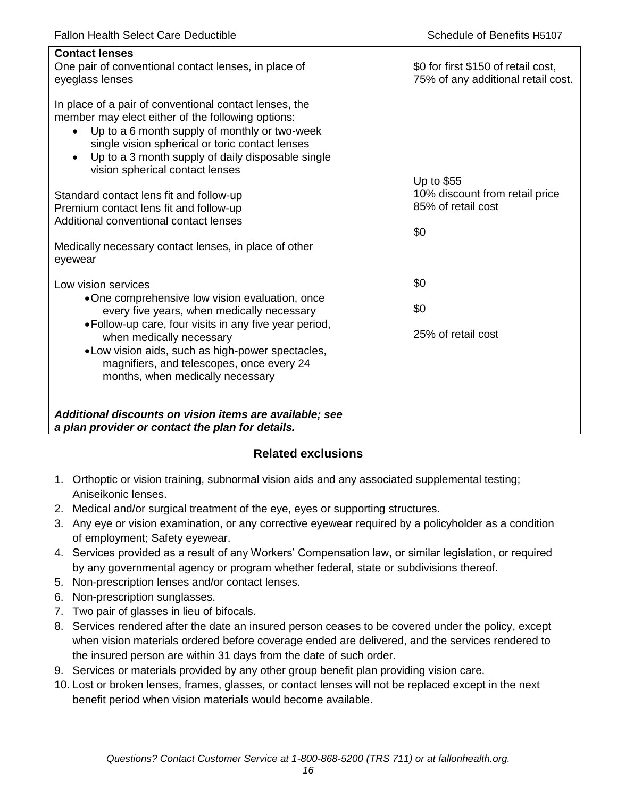| <b>Contact lenses</b><br>One pair of conventional contact lenses, in place of<br>eyeglass lenses                                                                                                                                                                                                                                  | \$0 for first \$150 of retail cost,<br>75% of any additional retail cost. |
|-----------------------------------------------------------------------------------------------------------------------------------------------------------------------------------------------------------------------------------------------------------------------------------------------------------------------------------|---------------------------------------------------------------------------|
| In place of a pair of conventional contact lenses, the<br>member may elect either of the following options:<br>Up to a 6 month supply of monthly or two-week<br>$\bullet$<br>single vision spherical or toric contact lenses<br>Up to a 3 month supply of daily disposable single<br>$\bullet$<br>vision spherical contact lenses |                                                                           |
| Standard contact lens fit and follow-up<br>Premium contact lens fit and follow-up<br>Additional conventional contact lenses                                                                                                                                                                                                       | Up to \$55<br>10% discount from retail price<br>85% of retail cost<br>\$0 |
| Medically necessary contact lenses, in place of other<br>eyewear                                                                                                                                                                                                                                                                  |                                                                           |
| Low vision services                                                                                                                                                                                                                                                                                                               | \$0                                                                       |
| •One comprehensive low vision evaluation, once<br>every five years, when medically necessary                                                                                                                                                                                                                                      | \$0                                                                       |
| • Follow-up care, four visits in any five year period,<br>when medically necessary<br>• Low vision aids, such as high-power spectacles,<br>magnifiers, and telescopes, once every 24<br>months, when medically necessary                                                                                                          | 25% of retail cost                                                        |
| Additional discounts on vision items are available; see<br>a plan provider or contact the plan for details.                                                                                                                                                                                                                       |                                                                           |

## **Related exclusions**

- 1. Orthoptic or vision training, subnormal vision aids and any associated supplemental testing; Aniseikonic lenses.
- 2. Medical and/or surgical treatment of the eye, eyes or supporting structures.
- 3. Any eye or vision examination, or any corrective eyewear required by a policyholder as a condition of employment; Safety eyewear.
- 4. Services provided as a result of any Workers' Compensation law, or similar legislation, or required by any governmental agency or program whether federal, state or subdivisions thereof.
- 5. Non-prescription lenses and/or contact lenses.
- 6. Non-prescription sunglasses.
- 7. Two pair of glasses in lieu of bifocals.
- 8. Services rendered after the date an insured person ceases to be covered under the policy, except when vision materials ordered before coverage ended are delivered, and the services rendered to the insured person are within 31 days from the date of such order.
- 9. Services or materials provided by any other group benefit plan providing vision care.
- 10. Lost or broken lenses, frames, glasses, or contact lenses will not be replaced except in the next benefit period when vision materials would become available.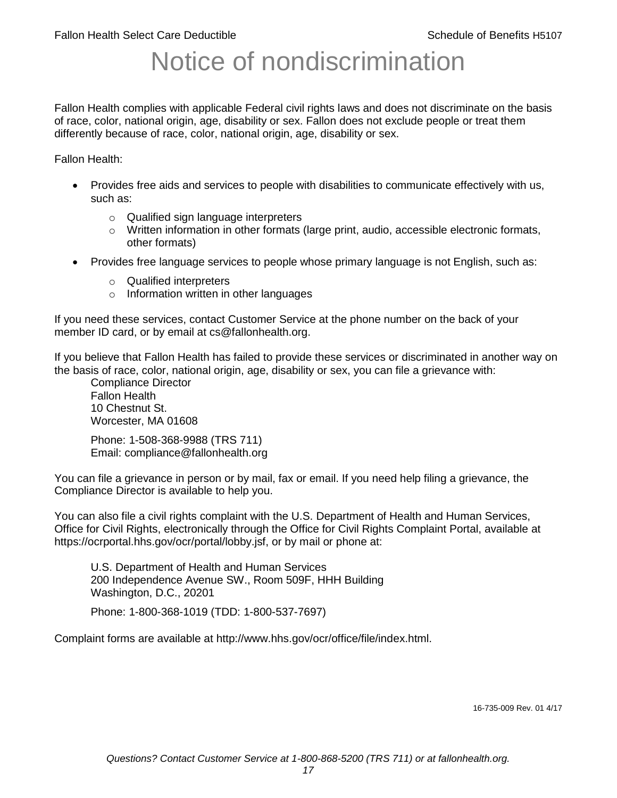# Notice of nondiscrimination

Fallon Health complies with applicable Federal civil rights laws and does not discriminate on the basis of race, color, national origin, age, disability or sex. Fallon does not exclude people or treat them differently because of race, color, national origin, age, disability or sex.

Fallon Health:

- Provides free aids and services to people with disabilities to communicate effectively with us, such as:
	- o Qualified sign language interpreters
	- $\circ$  Written information in other formats (large print, audio, accessible electronic formats, other formats)
- Provides free language services to people whose primary language is not English, such as:
	- o Qualified interpreters
	- o Information written in other languages

If you need these services, contact Customer Service at the phone number on the back of your member ID card, or by email at cs@fallonhealth.org.

If you believe that Fallon Health has failed to provide these services or discriminated in another way on the basis of race, color, national origin, age, disability or sex, you can file a grievance with:

Compliance Director Fallon Health 10 Chestnut St. Worcester, MA 01608

Phone: 1-508-368-9988 (TRS 711) Email: compliance@fallonhealth.org

You can file a grievance in person or by mail, fax or email. If you need help filing a grievance, the Compliance Director is available to help you.

You can also file a civil rights complaint with the U.S. Department of Health and Human Services, Office for Civil Rights, electronically through the Office for Civil Rights Complaint Portal, available at https://ocrportal.hhs.gov/ocr/portal/lobby.jsf, or by mail or phone at:

U.S. Department of Health and Human Services 200 Independence Avenue SW., Room 509F, HHH Building Washington, D.C., 20201

Phone: 1-800-368-1019 (TDD: 1-800-537-7697)

Complaint forms are available at http://www.hhs.gov/ocr/office/file/index.html.

16-735-009 Rev. 01 4/17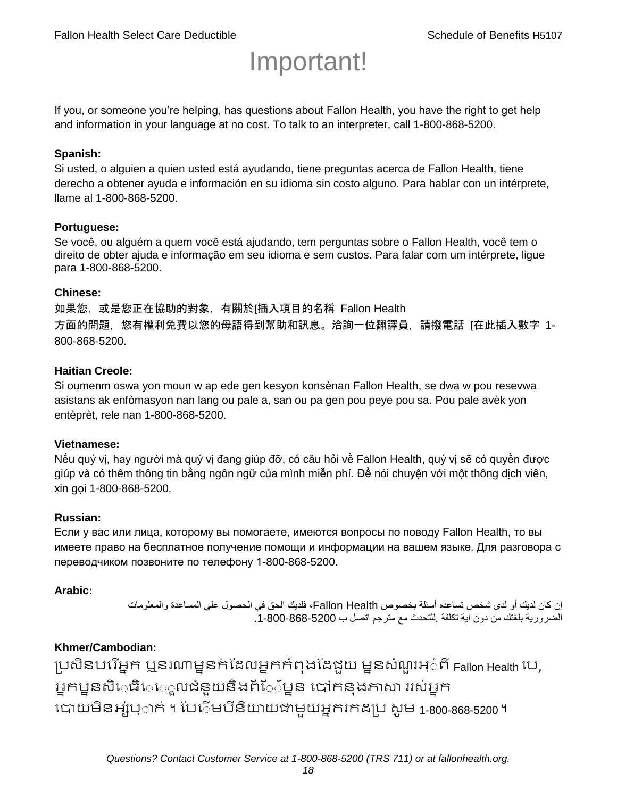# Important!

If you, or someone you're helping, has questions about Fallon Health, you have the right to get help and information in your language at no cost. To talk to an interpreter, call 1-800-868-5200.

#### **Spanish:**

Si usted, o alguien a quien usted está ayudando, tiene preguntas acerca de Fallon Health, tiene derecho a obtener ayuda e información en su idioma sin costo alguno. Para hablar con un intérprete, llame al 1-800-868-5200.

#### **Portuguese:**

Se você, ou alguém a quem você está ajudando, tem perguntas sobre o Fallon Health, você tem o direito de obter ajuda e informação em seu idioma e sem custos. Para falar com um intérprete, ligue para 1-800-868-5200.

#### **Chinese:**

如果您,或是您正在協助的對象,有關於[插入項目的名稱 Fallon Health 方面的問題, 您有權利免費以您的母語得到幫助和訊息。洽詢一位翻譯員, 請撥電話 [在此插入數字 1-800-868-5200.

#### **Haitian Creole:**

Si oumenm oswa yon moun w ap ede gen kesyon konsènan Fallon Health, se dwa w pou resevwa asistans ak enfòmasyon nan lang ou pale a, san ou pa gen pou peye pou sa. Pou pale avèk yon entèprèt, rele nan 1-800-868-5200.

#### **Vietnamese:**

Nếu quý vị, hay người mà quý vị đang giúp đỡ, có câu hỏi về Fallon Health, quý vị sẽ có quyền được giúp và có thêm thông tin bằng ngôn ngữ của mình miễn phí. Để nói chuyện với một thông dịch viên, xin gọi 1-800-868-5200.

#### **Russian:**

Если у вас или лица, которому вы помогаете, имеются вопросы по поводу Fallon Health, то вы имеете право на бесплатное получение помощи и информации на вашем языке. Для разговора с переводчиком позвоните по телефону 1-800-868-5200.

#### **Arabic:**

إن كان لديك أو لدى شخص تساعده أسئلة بخصوص Health Fallon، فلديك الحق في الحصول على المساعدة والمعلومات الضرورية بلغتك من دون اية تكلفة .للتحدث مع مترجم اتصل ب .1-800-868-5200

#### **Khmer/Cambodian:**

ប្រសិនបរើអ្នក ឬនរណាម្ននក់ដែលអ្នកកំពុងដែជយ ម្ននសំណួរអ្៎ពី Fallon Health រប, អ្នកម្ននសិេធិេ្រុលជំនួយនិងព័ែ៌ម្នន បៅកនុងភាសា ររស់អ្នក រោយម្ិនអ្ស់រ្ំ ក់ ។ ដររំម្ រនី ិយាយជាម្ួយអ្នក កែប្រ សូ ម្ 1-800-868-5200 ។